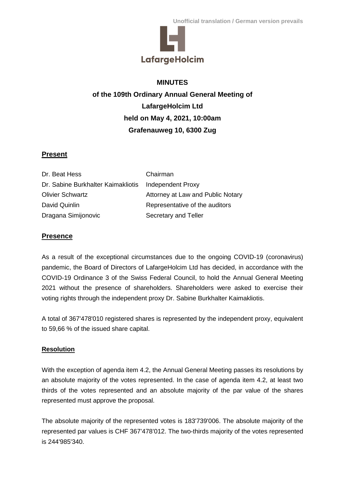

## **MINUTES**

**of the 109th Ordinary Annual General Meeting of LafargeHolcim Ltd held on May 4, 2021, 10:00am Grafenauweg 10, 6300 Zug**

## **Present**

| Dr. Beat Hess                      | Chairman                          |
|------------------------------------|-----------------------------------|
| Dr. Sabine Burkhalter Kaimakliotis | Independent Proxy                 |
| <b>Olivier Schwartz</b>            | Attorney at Law and Public Notary |
| David Quinlin                      | Representative of the auditors    |
| Dragana Simijonovic                | Secretary and Teller              |

## **Presence**

As a result of the exceptional circumstances due to the ongoing COVID-19 (coronavirus) pandemic, the Board of Directors of LafargeHolcim Ltd has decided, in accordance with the COVID-19 Ordinance 3 of the Swiss Federal Council, to hold the Annual General Meeting 2021 without the presence of shareholders. Shareholders were asked to exercise their voting rights through the independent proxy Dr. Sabine Burkhalter Kaimakliotis.

A total of 367'478'010 registered shares is represented by the independent proxy, equivalent to 59,66 % of the issued share capital.

## **Resolution**

With the exception of agenda item 4.2, the Annual General Meeting passes its resolutions by an absolute majority of the votes represented. In the case of agenda item 4.2, at least two thirds of the votes represented and an absolute majority of the par value of the shares represented must approve the proposal.

The absolute majority of the represented votes is 183'739'006. The absolute majority of the represented par values is CHF 367'478'012. The two-thirds majority of the votes represented is 244'985'340.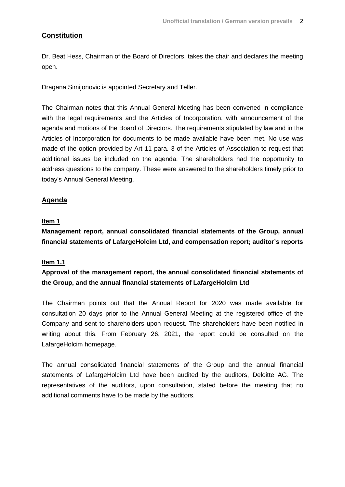## **Constitution**

Dr. Beat Hess, Chairman of the Board of Directors, takes the chair and declares the meeting open.

Dragana Simijonovic is appointed Secretary and Teller.

The Chairman notes that this Annual General Meeting has been convened in compliance with the legal requirements and the Articles of Incorporation, with announcement of the agenda and motions of the Board of Directors. The requirements stipulated by law and in the Articles of Incorporation for documents to be made available have been met. No use was made of the option provided by Art 11 para. 3 of the Articles of Association to request that additional issues be included on the agenda. The shareholders had the opportunity to address questions to the company. These were answered to the shareholders timely prior to today's Annual General Meeting.

## **Agenda**

#### **Item 1**

**Management report, annual consolidated financial statements of the Group, annual financial statements of LafargeHolcim Ltd, and compensation report; auditor's reports**

#### **Item 1.1**

**Approval of the management report, the annual consolidated financial statements of the Group, and the annual financial statements of LafargeHolcim Ltd**

The Chairman points out that the Annual Report for 2020 was made available for consultation 20 days prior to the Annual General Meeting at the registered office of the Company and sent to shareholders upon request. The shareholders have been notified in writing about this. From February 26, 2021, the report could be consulted on the LafargeHolcim homepage.

The annual consolidated financial statements of the Group and the annual financial statements of LafargeHolcim Ltd have been audited by the auditors, Deloitte AG. The representatives of the auditors, upon consultation, stated before the meeting that no additional comments have to be made by the auditors.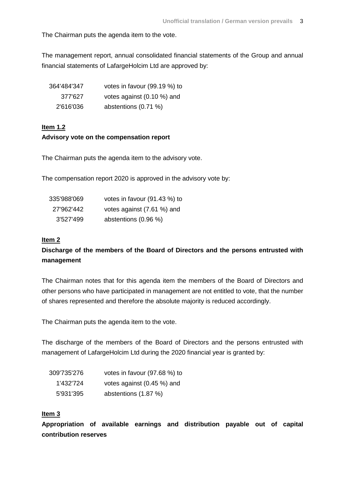The Chairman puts the agenda item to the vote.

The management report, annual consolidated financial statements of the Group and annual financial statements of LafargeHolcim Ltd are approved by:

| 364'484'347 | votes in favour (99.19 %) to |
|-------------|------------------------------|
| 377'627     | votes against (0.10 %) and   |
| 2'616'036   | abstentions (0.71 %)         |

## **Item 1.2 Advisory vote on the compensation report**

The Chairman puts the agenda item to the advisory vote.

The compensation report 2020 is approved in the advisory vote by:

| 335'988'069 | votes in favour (91.43 %) to |
|-------------|------------------------------|
| 27'962'442  | votes against (7.61 %) and   |
| 3'527'499   | abstentions (0.96 %)         |

#### **Item 2**

## **Discharge of the members of the Board of Directors and the persons entrusted with management**

The Chairman notes that for this agenda item the members of the Board of Directors and other persons who have participated in management are not entitled to vote, that the number of shares represented and therefore the absolute majority is reduced accordingly.

The Chairman puts the agenda item to the vote.

The discharge of the members of the Board of Directors and the persons entrusted with management of LafargeHolcim Ltd during the 2020 financial year is granted by:

| 309'735'276 | votes in favour (97.68 %) to |
|-------------|------------------------------|
| 1'432'724   | votes against (0.45 %) and   |
| 5'931'395   | abstentions (1.87 %)         |

#### **Item 3**

**Appropriation of available earnings and distribution payable out of capital contribution reserves**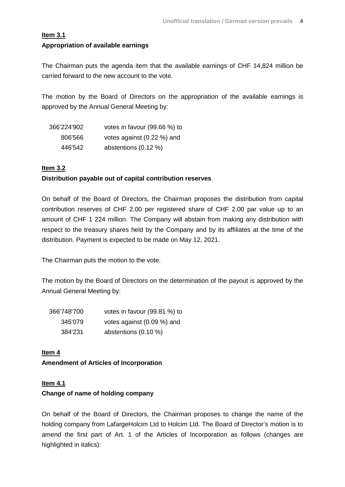## **Item 3.1 Appropriation of available earnings**

The Chairman puts the agenda item that the available earnings of CHF 14,824 million be carried forward to the new account to the vote.

The motion by the Board of Directors on the appropriation of the available earnings is approved by the Annual General Meeting by:

| 366'224'902 | votes in favour (99.66 %) to |
|-------------|------------------------------|
| 806'566     | votes against (0.22 %) and   |
| 446'542     | abstentions (0.12 %)         |

#### **Item 3.2**

#### **Distribution payable out of capital contribution reserves**

On behalf of the Board of Directors, the Chairman proposes the distribution from capital contribution reserves of CHF 2.00 per registered share of CHF 2.00 par value up to an amount of CHF 1 224 million. The Company will abstain from making any distribution with respect to the treasury shares held by the Company and by its affiliates at the time of the distribution. Payment is expected to be made on May 12, 2021.

The Chairman puts the motion to the vote.

The motion by the Board of Directors on the determination of the payout is approved by the Annual General Meeting by:

| 366'748'700 | votes in favour (99.81 %) to |
|-------------|------------------------------|
| 345'079     | votes against (0.09 %) and   |
| 384'231     | abstentions $(0.10 \%)$      |

**Item 4 Amendment of Articles of Incorporation** 

## **Item 4.1**

## **Change of name of holding company**

On behalf of the Board of Directors, the Chairman proposes to change the name of the holding company from LafargeHolcim Ltd to Holcim Ltd. The Board of Director's motion is to amend the first part of Art. 1 of the Articles of Incorporation as follows (changes are highlighted in italics):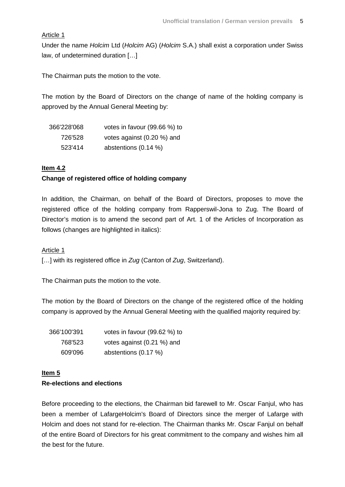### Article 1

Under the name *Holcim* Ltd (*Holcim* AG) (*Holcim* S.A.) shall exist a corporation under Swiss law, of undetermined duration […]

The Chairman puts the motion to the vote.

The motion by the Board of Directors on the change of name of the holding company is approved by the Annual General Meeting by:

| 366'228'068 | votes in favour (99.66 %) to |
|-------------|------------------------------|
| 726'528     | votes against (0.20 %) and   |
| 523'414     | abstentions $(0.14\%)$       |

#### **Item 4.2**

## **Change of registered office of holding company**

In addition, the Chairman, on behalf of the Board of Directors, proposes to move the registered office of the holding company from Rapperswil-Jona to Zug. The Board of Director's motion is to amend the second part of Art. 1 of the Articles of Incorporation as follows (changes are highlighted in italics):

#### Article 1

[…] with its registered office in *Zug* (Canton of *Zug*, Switzerland).

The Chairman puts the motion to the vote.

The motion by the Board of Directors on the change of the registered office of the holding company is approved by the Annual General Meeting with the qualified majority required by:

| 366'100'391 | votes in favour (99.62 %) to |
|-------------|------------------------------|
| 768'523     | votes against (0.21 %) and   |
| 609'096     | abstentions (0.17 %)         |

# **Item 5**

# **Re-elections and elections**

Before proceeding to the elections, the Chairman bid farewell to Mr. Oscar Fanjul, who has been a member of LafargeHolcim's Board of Directors since the merger of Lafarge with Holcim and does not stand for re-election. The Chairman thanks Mr. Oscar Fanjul on behalf of the entire Board of Directors for his great commitment to the company and wishes him all the best for the future.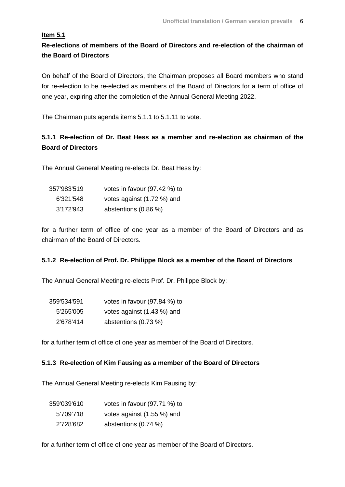## **Item 5.1**

**Re-elections of members of the Board of Directors and re-election of the chairman of the Board of Directors**

On behalf of the Board of Directors, the Chairman proposes all Board members who stand for re-election to be re-elected as members of the Board of Directors for a term of office of one year, expiring after the completion of the Annual General Meeting 2022.

The Chairman puts agenda items 5.1.1 to 5.1.11 to vote.

# **5.1.1 Re-election of Dr. Beat Hess as a member and re-election as chairman of the Board of Directors**

The Annual General Meeting re-elects Dr. Beat Hess by:

| 357'983'519 | votes in favour (97.42 %) to |
|-------------|------------------------------|
| 6'321'548   | votes against (1.72 %) and   |
| 3'172'943   | abstentions (0.86 %)         |

for a further term of office of one year as a member of the Board of Directors and as chairman of the Board of Directors.

## **5.1.2 Re-election of Prof. Dr. Philippe Block as a member of the Board of Directors**

The Annual General Meeting re-elects Prof. Dr. Philippe Block by:

| 359'534'591 | votes in favour (97.84 %) to |
|-------------|------------------------------|
| 5'265'005   | votes against (1.43 %) and   |
| 2'678'414   | abstentions (0.73 %)         |

for a further term of office of one year as member of the Board of Directors.

#### **5.1.3 Re-election of Kim Fausing as a member of the Board of Directors**

The Annual General Meeting re-elects Kim Fausing by:

| 359'039'610 | votes in favour (97.71 %) to |
|-------------|------------------------------|
| 5'709'718   | votes against (1.55 %) and   |
| 2'728'682   | abstentions (0.74 %)         |

for a further term of office of one year as member of the Board of Directors.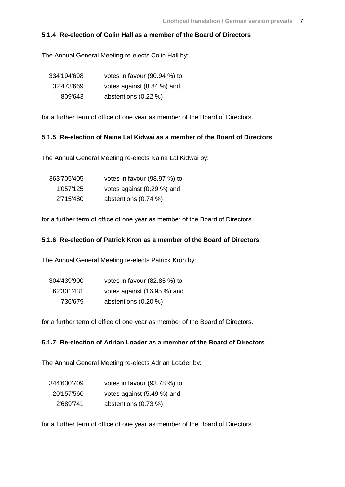#### **5.1.4 Re-election of Colin Hall as a member of the Board of Directors**

The Annual General Meeting re-elects Colin Hall by:

| 334'194'698 | votes in favour (90.94 %) to |
|-------------|------------------------------|
| 32'473'669  | votes against (8.84 %) and   |
| 809'643     | abstentions (0.22 %)         |

for a further term of office of one year as member of the Board of Directors.

## **5.1.5 Re-election of Naina Lal Kidwai as a member of the Board of Directors**

The Annual General Meeting re-elects Naina Lal Kidwai by:

| 363'705'405 | votes in favour (98.97 %) to |
|-------------|------------------------------|
| 1'057'125   | votes against (0.29 %) and   |
| 2'715'480   | abstentions (0.74 %)         |

for a further term of office of one year as member of the Board of Directors.

### **5.1.6 Re-election of Patrick Kron as a member of the Board of Directors**

The Annual General Meeting re-elects Patrick Kron by:

| 304'439'900 | votes in favour $(82.85\%)$ to |
|-------------|--------------------------------|
| 62'301'431  | votes against (16.95 %) and    |
| 736'679     | abstentions (0.20 %)           |

for a further term of office of one year as member of the Board of Directors.

#### **5.1.7 Re-election of Adrian Loader as a member of the Board of Directors**

The Annual General Meeting re-elects Adrian Loader by:

| 344'630'709 | votes in favour $(93.78\%)$ to |
|-------------|--------------------------------|
| 20'157'560  | votes against (5.49 %) and     |
| 2'689'741   | abstentions $(0.73\%)$         |

for a further term of office of one year as member of the Board of Directors.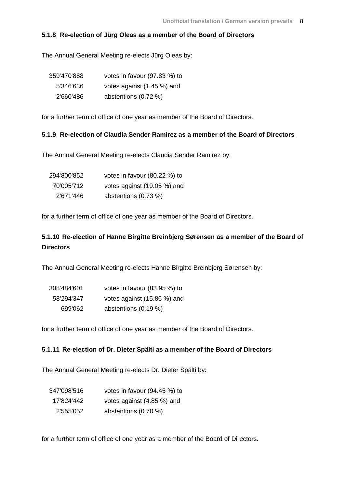#### **5.1.8 Re-election of Jürg Oleas as a member of the Board of Directors**

The Annual General Meeting re-elects Jürg Oleas by:

| 359'470'888 | votes in favour (97.83 %) to |
|-------------|------------------------------|
| 5'346'636   | votes against (1.45 %) and   |
| 2'660'486   | abstentions (0.72 %)         |

for a further term of office of one year as member of the Board of Directors.

#### **5.1.9 Re-election of Claudia Sender Ramirez as a member of the Board of Directors**

The Annual General Meeting re-elects Claudia Sender Ramirez by:

| 294'800'852 | votes in favour (80.22 %) to |
|-------------|------------------------------|
| 70'005'712  | votes against (19.05 %) and  |
| 2'671'446   | abstentions (0.73 %)         |

for a further term of office of one year as member of the Board of Directors.

## **5.1.10 Re-election of Hanne Birgitte Breinbjerg Sørensen as a member of the Board of Directors**

The Annual General Meeting re-elects Hanne Birgitte Breinbjerg Sørensen by:

| 308'484'601 | votes in favour (83.95 %) to |
|-------------|------------------------------|
| 58'294'347  | votes against (15.86 %) and  |
| 699'062     | abstentions (0.19 %)         |

for a further term of office of one year as member of the Board of Directors.

#### **5.1.11 Re-election of Dr. Dieter Spälti as a member of the Board of Directors**

The Annual General Meeting re-elects Dr. Dieter Spälti by:

| 347'098'516 | votes in favour (94.45 %) to |  |
|-------------|------------------------------|--|
| 17'824'442  | votes against (4.85 %) and   |  |
| 2'555'052   | abstentions (0.70 %)         |  |

for a further term of office of one year as a member of the Board of Directors.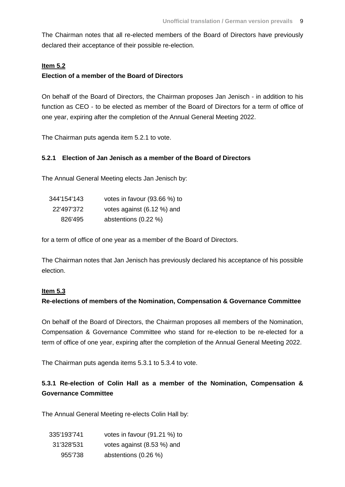The Chairman notes that all re-elected members of the Board of Directors have previously declared their acceptance of their possible re-election.

#### **Item 5.2**

#### **Election of a member of the Board of Directors**

On behalf of the Board of Directors, the Chairman proposes Jan Jenisch - in addition to his function as CEO - to be elected as member of the Board of Directors for a term of office of one year, expiring after the completion of the Annual General Meeting 2022.

The Chairman puts agenda item 5.2.1 to vote.

#### **5.2.1 Election of Jan Jenisch as a member of the Board of Directors**

The Annual General Meeting elects Jan Jenisch by:

| 344'154'143 | votes in favour (93.66 %) to |
|-------------|------------------------------|
| 22'497'372  | votes against (6.12 %) and   |
| 826'495     | abstentions (0.22 %)         |

for a term of office of one year as a member of the Board of Directors.

The Chairman notes that Jan Jenisch has previously declared his acceptance of his possible election.

#### **Item 5.3**

## **Re-elections of members of the Nomination, Compensation & Governance Committee**

On behalf of the Board of Directors, the Chairman proposes all members of the Nomination, Compensation & Governance Committee who stand for re-election to be re-elected for a term of office of one year, expiring after the completion of the Annual General Meeting 2022.

The Chairman puts agenda items 5.3.1 to 5.3.4 to vote.

## **5.3.1 Re-election of Colin Hall as a member of the Nomination, Compensation & Governance Committee**

The Annual General Meeting re-elects Colin Hall by:

| 335'193'741 | votes in favour (91.21 %) to |
|-------------|------------------------------|
| 31'328'531  | votes against (8.53 %) and   |
| 955'738     | abstentions (0.26 %)         |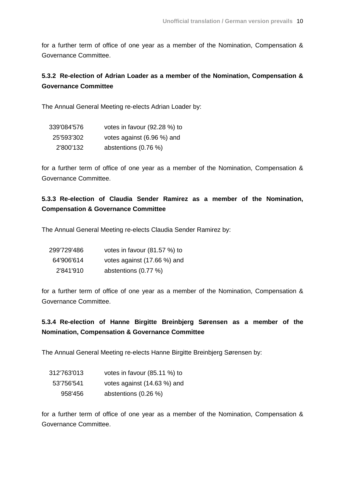for a further term of office of one year as a member of the Nomination, Compensation & Governance Committee.

# **5.3.2 Re-election of Adrian Loader as a member of the Nomination, Compensation & Governance Committee**

The Annual General Meeting re-elects Adrian Loader by:

| 339'084'576 | votes in favour (92.28 %) to |
|-------------|------------------------------|
| 25'593'302  | votes against (6.96 %) and   |
| 2'800'132   | abstentions (0.76 %)         |

for a further term of office of one year as a member of the Nomination, Compensation & Governance Committee.

## **5.3.3 Re-election of Claudia Sender Ramirez as a member of the Nomination, Compensation & Governance Committee**

The Annual General Meeting re-elects Claudia Sender Ramirez by:

| 299'729'486 | votes in favour (81.57 %) to |
|-------------|------------------------------|
| 64'906'614  | votes against (17.66 %) and  |
| 2'841'910   | abstentions (0.77 %)         |

for a further term of office of one year as a member of the Nomination, Compensation & Governance Committee.

# **5.3.4 Re-election of Hanne Birgitte Breinbjerg Sørensen as a member of the Nomination, Compensation & Governance Committee**

The Annual General Meeting re-elects Hanne Birgitte Breinbjerg Sørensen by:

| 312'763'013 | votes in favour (85.11 %) to |
|-------------|------------------------------|
| 53'756'541  | votes against (14.63 %) and  |
| 958'456     | abstentions (0.26 %)         |

for a further term of office of one year as a member of the Nomination, Compensation & Governance Committee.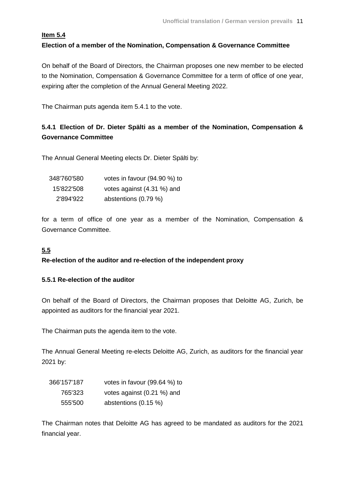## **Item 5.4 Election of a member of the Nomination, Compensation & Governance Committee**

On behalf of the Board of Directors, the Chairman proposes one new member to be elected to the Nomination, Compensation & Governance Committee for a term of office of one year, expiring after the completion of the Annual General Meeting 2022.

The Chairman puts agenda item 5.4.1 to the vote.

# **5.4.1 Election of Dr. Dieter Spälti as a member of the Nomination, Compensation & Governance Committee**

The Annual General Meeting elects Dr. Dieter Spälti by:

| 348'760'580 | votes in favour (94.90 %) to |
|-------------|------------------------------|
| 15'822'508  | votes against (4.31 %) and   |
| 2'894'922   | abstentions $(0.79\%)$       |

for a term of office of one year as a member of the Nomination, Compensation & Governance Committee.

## **5.5**

## **Re-election of the auditor and re-election of the independent proxy**

## **5.5.1 Re-election of the auditor**

On behalf of the Board of Directors, the Chairman proposes that Deloitte AG, Zurich, be appointed as auditors for the financial year 2021.

The Chairman puts the agenda item to the vote.

The Annual General Meeting re-elects Deloitte AG, Zurich, as auditors for the financial year 2021 by:

| 366'157'187 | votes in favour (99.64 %) to |  |
|-------------|------------------------------|--|
| 765'323     | votes against (0.21 %) and   |  |
| 555'500     | abstentions $(0.15 \%)$      |  |

The Chairman notes that Deloitte AG has agreed to be mandated as auditors for the 2021 financial year.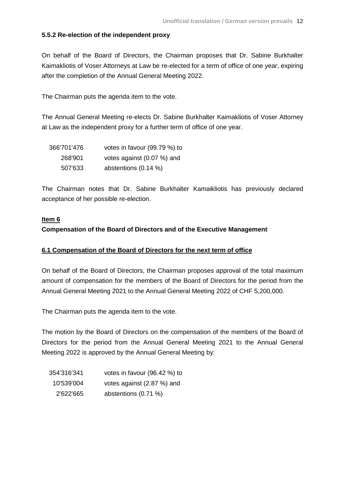#### **5.5.2 Re-election of the independent proxy**

On behalf of the Board of Directors, the Chairman proposes that Dr. Sabine Burkhalter Kaimakliotis of Voser Attorneys at Law be re-elected for a term of office of one year, expiring after the completion of the Annual General Meeting 2022.

The Chairman puts the agenda item to the vote.

The Annual General Meeting re-elects Dr. Sabine Burkhalter Kaimakliotis of Voser Attorney at Law as the independent proxy for a further term of office of one year.

| 366'701'476 | votes in favour (99.79 %) to |  |
|-------------|------------------------------|--|
| 268'901     | votes against (0.07 %) and   |  |
| 507'633     | abstentions (0.14 %)         |  |

The Chairman notes that Dr. Sabine Burkhalter Kamaikliotis has previously declared acceptance of her possible re-election.

#### **Item 6**

#### **Compensation of the Board of Directors and of the Executive Management**

#### **6.1 Compensation of the Board of Directors for the next term of office**

On behalf of the Board of Directors, the Chairman proposes approval of the total maximum amount of compensation for the members of the Board of Directors for the period from the Annual General Meeting 2021 to the Annual General Meeting 2022 of CHF 5,200,000.

The Chairman puts the agenda item to the vote.

The motion by the Board of Directors on the compensation of the members of the Board of Directors for the period from the Annual General Meeting 2021 to the Annual General Meeting 2022 is approved by the Annual General Meeting by:

| 354'316'341 | votes in favour (96.42 %) to |
|-------------|------------------------------|
| 10'539'004  | votes against (2.87 %) and   |
| 2'622'665   | abstentions (0.71 %)         |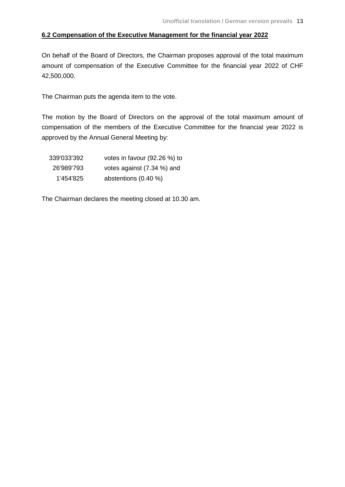## **6.2 Compensation of the Executive Management for the financial year 2022**

On behalf of the Board of Directors, the Chairman proposes approval of the total maximum amount of compensation of the Executive Committee for the financial year 2022 of CHF 42,500,000.

The Chairman puts the agenda item to the vote.

The motion by the Board of Directors on the approval of the total maximum amount of compensation of the members of the Executive Committee for the financial year 2022 is approved by the Annual General Meeting by:

| 339'033'392 | votes in favour (92.26 %) to |
|-------------|------------------------------|
| 26'989'793  | votes against (7.34 %) and   |
| 1'454'825   | abstentions (0.40 %)         |

The Chairman declares the meeting closed at 10.30 am.